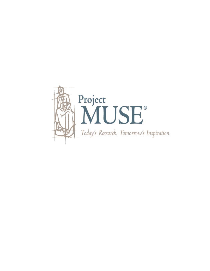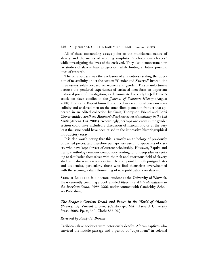## 336 • JOURNAL OF THE EARLY REPUBLIC (Summer 2009)

All of these outstanding essays point to the multifaceted nature of slavery and the merits of avoiding simplistic ''dichotomous choices'' while investigating the lives of the enslaved. They also demonstrate how far studies of slavery have progressed, while hinting at future possible lines of research.

The only setback was the exclusion of any entries tackling the question of masculinity under the section ''Gender and Slavery.'' Instead, the three essays solely focused on women and gender. This is unfortunate because the gendered experiences of enslaved men form an important historical point of investigation, as demonstrated recently by Jeff Forret's article on slave conflict in the *Journal of Southern History* (August 2008). Ironically, Baptist himself produced an exceptional essay on masculinity and enslaved men on the antebellum plantation frontier that appeared in an edited collection by Craig Thompson Friend and Lorri Glover entitled *Southern Manhood: Perspectives on Masculinity in the Old South* (Athens, GA, 2004). Accordingly, perhaps one entry in the gender section could have included a discussion of masculinity, or at the very least the issue could have been raised in the impressive historiographical introductory essay.

It is also worth noting that this is mostly an anthology of previously published pieces, and therefore perhaps less useful to specialists of slavery who have kept abreast of current scholarship. However, Baptist and Camp's anthology remains compulsory reading for undergraduates seeking to familiarize themselves with the rich and enormous field of slavery studies. It also serves as an essential reference point for both postgraduates and academics, particularly those who find themselves overwhelmed with the seemingly daily flourishing of new publications on slavery.

SERGIO LUSSANA is a doctoral student at the University of Warwick. He is currently coediting a book entitled *Black and White Masculinity in the American South, 1800–2000,* under contract with Cambridge Scholars Publishing.

*The Reaper's Garden: Death and Power in the World of Atlantic Slavery.* By Vincent Brown. (Cambridge, MA: Harvard University Press, 2008. Pp. x, 340. Cloth: \$35.00.)

## *Reviewed by Randy M. Browne*

Caribbean slave societies were notoriously deadly. African captives who survived the middle passage and a period of ''adjustment'' in colonial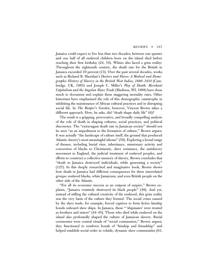### REVIEWS • 337

Jamaica could expect to live less than two decades; between one quarter and one half of all enslaved children born on the island died before reaching their first birthday (24, 54). Whites also faced a grim reality: Throughout the eighteenth century, the death rate for the British in Jamaica exceeded 10 percent (13). Over the past several decades, works such as Richard B. Sheridan's *Doctors and Slaves: A Medical and Demographic History of Slavery in the British West Indies, 1680–1834* (Cambridge, UK, 1985) and Joseph C. Miller's *Way of Death: Merchant Capitalism and the Angolan Slave Trade* (Madison, WI, 1988) have done much to document and explain these staggering mortality rates. Other historians have emphasized the role of this demographic catastrophe in inhibiting the maintenance of African cultural practices and in disrupting social life. In *The Reaper's Garden*, however, Vincent Brown takes a different approach. How, he asks, did ''death shape daily life'' (6)?

The result is a gripping, provocative, and broadly compelling analysis of the role of death in shaping cultures, social practices, and political discourses. The ''extravagant death rate in Jamaican society'' should not be seen ''as an impediment to the formation of culture,'' Brown argues: It was actually ''the landscape of culture itself, the ground that produced Atlantic slavery's most meaningful idioms'' (59). Exploring a broad range of themes, including burial rites, inheritance, missionary activity and conversion of blacks to Christianity, slave resistance, the antislavery movement in England, the judicial treatment of enslaved peoples, and efforts to construct a collective memory of slavery, Brown concludes that ''death in Jamaica destroyed individuals, while generating a society'' (127). In this deeply researched and imaginative book, Brown shows how death in Jamaica had different consequences for three interrelated groups: enslaved blacks, white Jamaicans, and even British people on the other side of the Atlantic.

''For all its economic success as an outpost of empire,'' Brown explains, ''Jamaica routinely destroyed its black people'' (49). And yet, instead of stifling the cultural creativity of the enslaved, this grim reality was the very basis of the culture they formed. The social crises caused by the slave trade, for example, forced captives to form fictive kinship bonds onboard slave ships. In Jamaica, these '' 'shipmates' were treated as brothers and sisters'' (44–45). Those who died while enslaved on the island also profoundly shaped the culture of Jamaican slavery. Burial ceremonies were central rituals of ''social communion,'' Brown argues; they functioned to reinforce bonds of ''kinship and friendship'' and helped establish social order in volatile, dynamic slave communities  $(63,$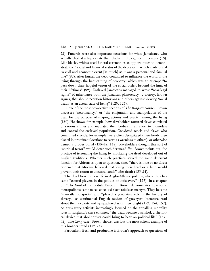# 338 • JOURNAL OF THE EARLY REPUBLIC (Summer 2009)

73). Funerals were also important occasions for white Jamaicans, who actually died at a higher rate than blacks in the eighteenth century (13). Like blacks, whites used funeral ceremonies as opportunities to demonstrate the ''social and financial status of the deceased,'' which made burial ''a civil and economic event [as much] as it was a personal and familial one'' (82). After burial, the dead continued to influence the world of the living through the bequeathing of property, which was an attempt ''to pass down their hopeful vision of the social order, beyond the limit of their lifetimes'' (92). Enslaved Jamaicans managed to wrest ''near-legal rights'' of inheritance from the Jamaican plantocracy—a victory, Brown argues, that should ''caution historians and others against viewing 'social death' as an actual state of being'' (125, 127).

In one of the most provocative sections of *The Reaper's Garden*, Brown discusses ''necromancy,'' or ''the conjuration and manipulation of the dead for the purpose of shaping actions and events'' among the living (130). He shows, for example, how slaveholders tortured slaves convicted of various crimes and mutilated their bodies in an effort to intimidate and control the enslaved population. Convicted rebels and slaves who committed suicide, for example, were often decapitated (their heads then placed in prominent locations to serve as warnings to others), or otherwise denied a proper burial (135–42, 148). Slaveholders thought this sort of ''spiritual terror'' would deter such ''crimes.'' Yet, Brown points out, the practice of terrorizing the living by mutilating the dead developed out of English traditions. Whether such practices served the same deterrent function for Africans is open to question, since ''there is little or no direct evidence that Africans believed that losing their head or a limb would prevent their return to ancestral lands'' after death (133–34).

The dead took on new life in Anglo–Atlantic politics, where they became ''central players in the politics of antislavery'' (157). In a chapter on ''The Soul of the British Empire,'' Brown demonstrates how some metropolitans came to see executed slave rebels as martyrs. They became ''transatlantic spirits'' and ''played a generative role in the history of slavery," as sentimental English readers of graveyard literature read about their exploits and sympathized with their plight (152, 154, 157). As antislavery activists increasingly focused on the appalling mortality rates in England's slave colonies, ''the dead became a symbol, a rhetorical device that abolitionists could bring to bear on political life'' (157– 62). The *Zong* case, Brown shows, was but the most salient example of this broader trend (172–74).

Particularly fresh and productive is Brown's approach to questions of